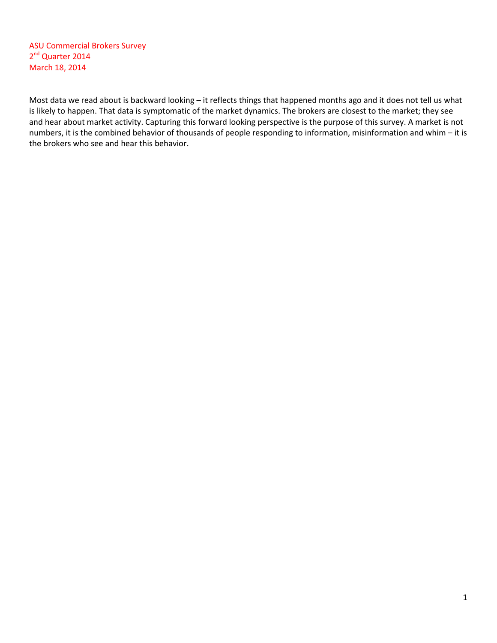ASU Commercial Brokers Survey 2<sup>nd</sup> Quarter 2014 March 18, 2014

Most data we read about is backward looking – it reflects things that happened months ago and it does not tell us what is likely to happen. That data is symptomatic of the market dynamics. The brokers are closest to the market; they see and hear about market activity. Capturing this forward looking perspective is the purpose of this survey. A market is not numbers, it is the combined behavior of thousands of people responding to information, misinformation and whim – it is the brokers who see and hear this behavior.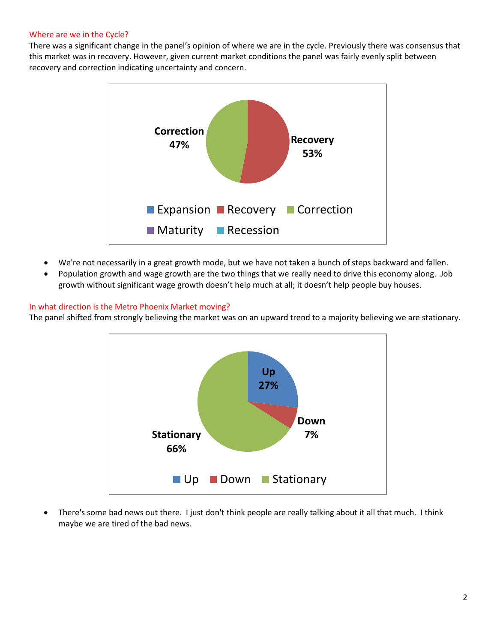### Where are we in the Cycle?

There was a significant change in the panel's opinion of where we are in the cycle. Previously there was consensus that this market was in recovery. However, given current market conditions the panel was fairly evenly split between recovery and correction indicating uncertainty and concern.



- We're not necessarily in a great growth mode, but we have not taken a bunch of steps backward and fallen.
- Population growth and wage growth are the two things that we really need to drive this economy along. Job growth without significant wage growth doesn't help much at all; it doesn't help people buy houses.

#### In what direction is the Metro Phoenix Market moving?

The panel shifted from strongly believing the market was on an upward trend to a majority believing we are stationary.



• There's some bad news out there. I just don't think people are really talking about it all that much. I think maybe we are tired of the bad news.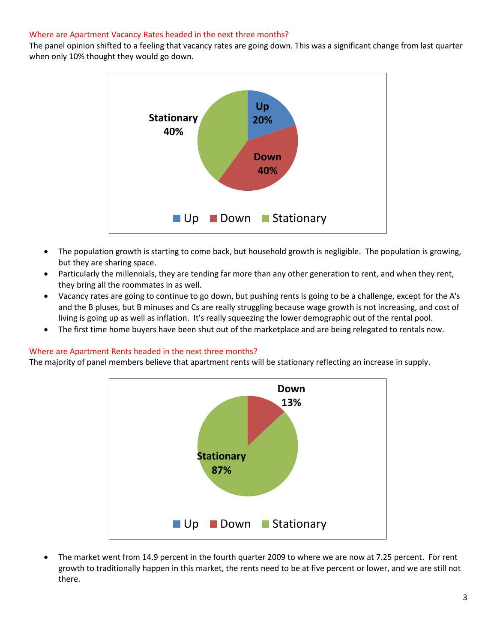## Where are Apartment Vacancy Rates headed in the next three months?

The panel opinion shifted to a feeling that vacancy rates are going down. This was a significant change from last quarter when only 10% thought they would go down.



- The population growth is starting to come back, but household growth is negligible. The population is growing, but they are sharing space.
- Particularly the millennials, they are tending far more than any other generation to rent, and when they rent, they bring all the roommates in as well.
- Vacancy rates are going to continue to go down, but pushing rents is going to be a challenge, except for the A's and the B pluses, but B minuses and Cs are really struggling because wage growth is not increasing, and cost of living is going up as well as inflation. It's really squeezing the lower demographic out of the rental pool.
- The first time home buyers have been shut out of the marketplace and are being relegated to rentals now.

## Where are Apartment Rents headed in the next three months?

The majority of panel members believe that apartment rents will be stationary reflecting an increase in supply.



• The market went from 14.9 percent in the fourth quarter 2009 to where we are now at 7.25 percent. For rent growth to traditionally happen in this market, the rents need to be at five percent or lower, and we are still not there.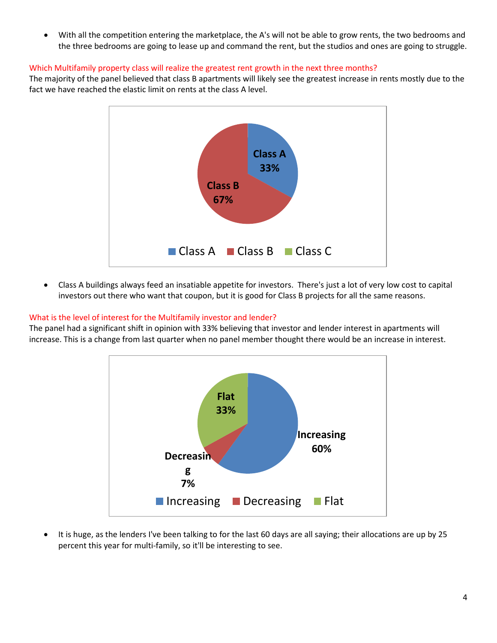• With all the competition entering the marketplace, the A's will not be able to grow rents, the two bedrooms and the three bedrooms are going to lease up and command the rent, but the studios and ones are going to struggle.

## Which Multifamily property class will realize the greatest rent growth in the next three months?

The majority of the panel believed that class B apartments will likely see the greatest increase in rents mostly due to the fact we have reached the elastic limit on rents at the class A level.



• Class A buildings always feed an insatiable appetite for investors. There's just a lot of very low cost to capital investors out there who want that coupon, but it is good for Class B projects for all the same reasons.

# What is the level of interest for the Multifamily investor and lender?

The panel had a significant shift in opinion with 33% believing that investor and lender interest in apartments will increase. This is a change from last quarter when no panel member thought there would be an increase in interest.



• It is huge, as the lenders I've been talking to for the last 60 days are all saying; their allocations are up by 25 percent this year for multi-family, so it'll be interesting to see.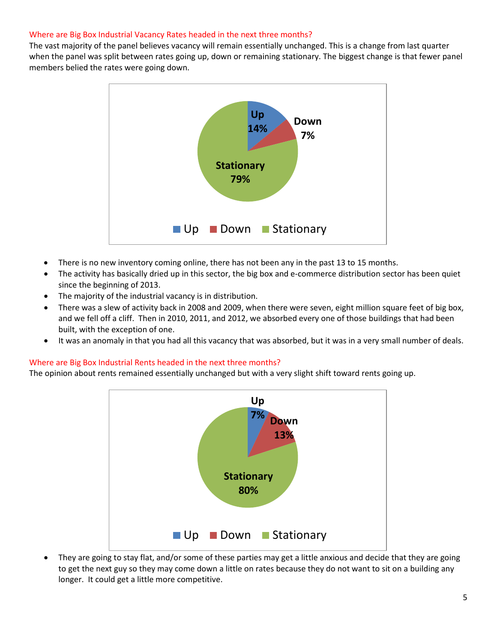## Where are Big Box Industrial Vacancy Rates headed in the next three months?

The vast majority of the panel believes vacancy will remain essentially unchanged. This is a change from last quarter when the panel was split between rates going up, down or remaining stationary. The biggest change is that fewer panel members belied the rates were going down.



- There is no new inventory coming online, there has not been any in the past 13 to 15 months.
- The activity has basically dried up in this sector, the big box and e-commerce distribution sector has been quiet since the beginning of 2013.
- The majority of the industrial vacancy is in distribution.
- There was a slew of activity back in 2008 and 2009, when there were seven, eight million square feet of big box, and we fell off a cliff. Then in 2010, 2011, and 2012, we absorbed every one of those buildings that had been built, with the exception of one.
- It was an anomaly in that you had all this vacancy that was absorbed, but it was in a very small number of deals.

#### Where are Big Box Industrial Rents headed in the next three months?

The opinion about rents remained essentially unchanged but with a very slight shift toward rents going up.



• They are going to stay flat, and/or some of these parties may get a little anxious and decide that they are going to get the next guy so they may come down a little on rates because they do not want to sit on a building any longer. It could get a little more competitive.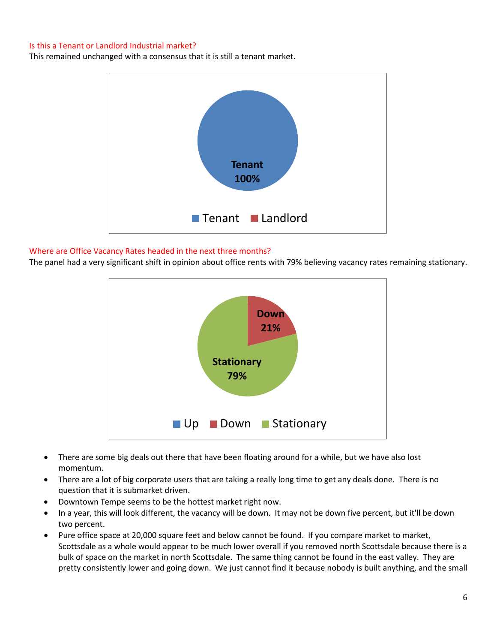## Is this a Tenant or Landlord Industrial market?

This remained unchanged with a consensus that it is still a tenant market.



## Where are Office Vacancy Rates headed in the next three months?

The panel had a very significant shift in opinion about office rents with 79% believing vacancy rates remaining stationary.



- There are some big deals out there that have been floating around for a while, but we have also lost momentum.
- There are a lot of big corporate users that are taking a really long time to get any deals done. There is no question that it is submarket driven.
- Downtown Tempe seems to be the hottest market right now.
- In a year, this will look different, the vacancy will be down. It may not be down five percent, but it'll be down two percent.
- Pure office space at 20,000 square feet and below cannot be found. If you compare market to market, Scottsdale as a whole would appear to be much lower overall if you removed north Scottsdale because there is a bulk of space on the market in north Scottsdale. The same thing cannot be found in the east valley. They are pretty consistently lower and going down. We just cannot find it because nobody is built anything, and the small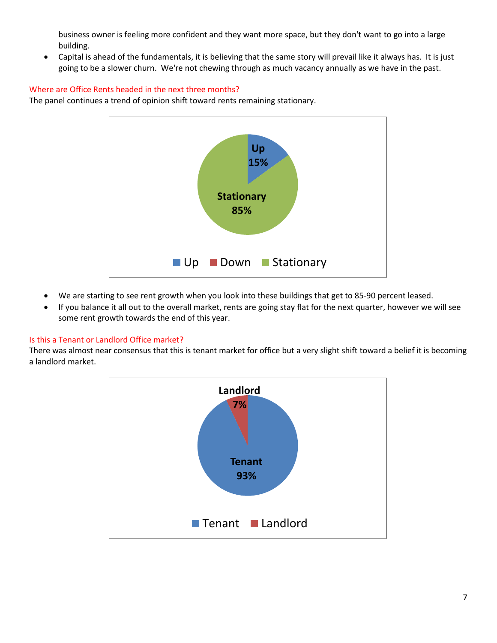business owner is feeling more confident and they want more space, but they don't want to go into a large building.

• Capital is ahead of the fundamentals, it is believing that the same story will prevail like it always has. It is just going to be a slower churn. We're not chewing through as much vacancy annually as we have in the past.

# Where are Office Rents headed in the next three months?

The panel continues a trend of opinion shift toward rents remaining stationary.



- We are starting to see rent growth when you look into these buildings that get to 85-90 percent leased.
- If you balance it all out to the overall market, rents are going stay flat for the next quarter, however we will see some rent growth towards the end of this year.

# Is this a Tenant or Landlord Office market?

There was almost near consensus that this is tenant market for office but a very slight shift toward a belief it is becoming a landlord market.

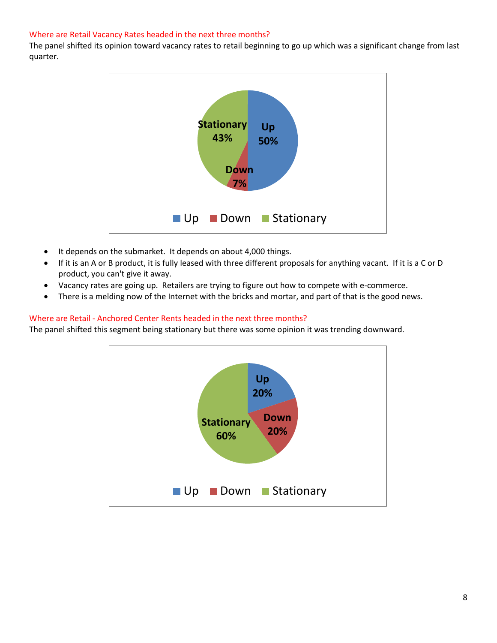## Where are Retail Vacancy Rates headed in the next three months?

The panel shifted its opinion toward vacancy rates to retail beginning to go up which was a significant change from last quarter.



- It depends on the submarket. It depends on about 4,000 things.
- If it is an A or B product, it is fully leased with three different proposals for anything vacant. If it is a C or D product, you can't give it away.
- Vacancy rates are going up. Retailers are trying to figure out how to compete with e-commerce.
- There is a melding now of the Internet with the bricks and mortar, and part of that is the good news.

## Where are Retail - Anchored Center Rents headed in the next three months?

The panel shifted this segment being stationary but there was some opinion it was trending downward.

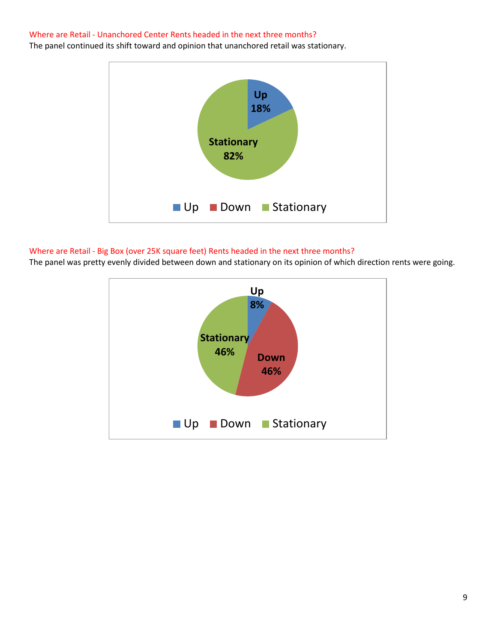#### Where are Retail - Unanchored Center Rents headed in the next three months?

The panel continued its shift toward and opinion that unanchored retail was stationary.



# Where are Retail - Big Box (over 25K square feet) Rents headed in the next three months?

The panel was pretty evenly divided between down and stationary on its opinion of which direction rents were going.

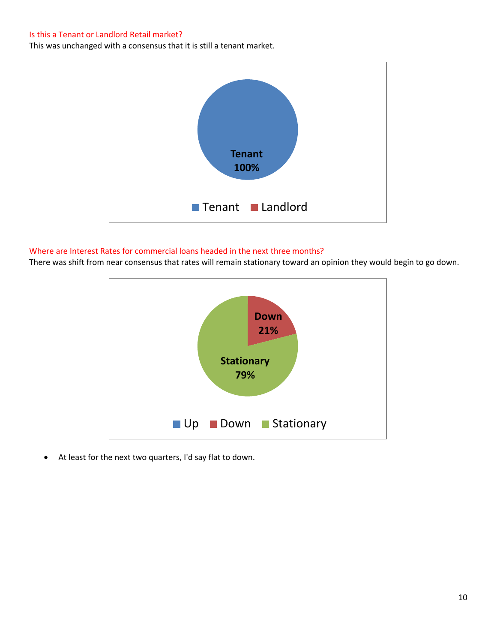#### Is this a Tenant or Landlord Retail market?

This was unchanged with a consensus that it is still a tenant market.



## Where are Interest Rates for commercial loans headed in the next three months?

There was shift from near consensus that rates will remain stationary toward an opinion they would begin to go down.



• At least for the next two quarters, I'd say flat to down.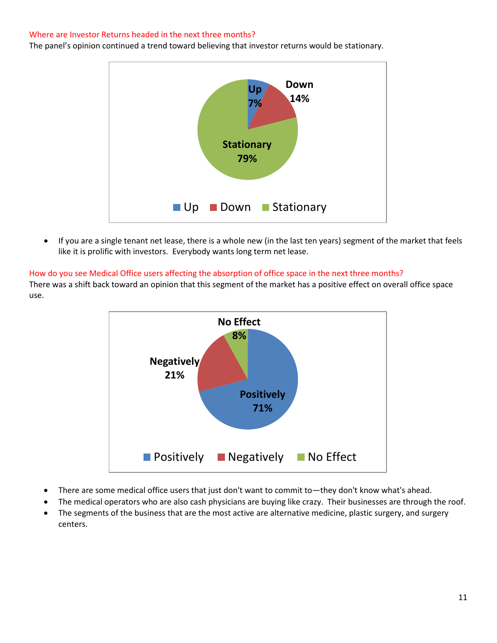#### Where are Investor Returns headed in the next three months?

The panel's opinion continued a trend toward believing that investor returns would be stationary.



• If you are a single tenant net lease, there is a whole new (in the last ten years) segment of the market that feels like it is prolific with investors. Everybody wants long term net lease.

#### How do you see Medical Office users affecting the absorption of office space in the next three months?

There was a shift back toward an opinion that this segment of the market has a positive effect on overall office space use.



- There are some medical office users that just don't want to commit to—they don't know what's ahead.
- The medical operators who are also cash physicians are buying like crazy. Their businesses are through the roof.
- The segments of the business that are the most active are alternative medicine, plastic surgery, and surgery centers.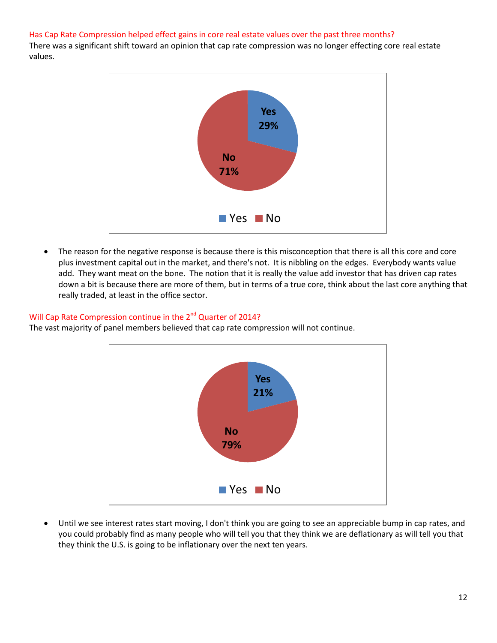### Has Cap Rate Compression helped effect gains in core real estate values over the past three months?

There was a significant shift toward an opinion that cap rate compression was no longer effecting core real estate values.



The reason for the negative response is because there is this misconception that there is all this core and core plus investment capital out in the market, and there's not. It is nibbling on the edges. Everybody wants value add. They want meat on the bone. The notion that it is really the value add investor that has driven cap rates down a bit is because there are more of them, but in terms of a true core, think about the last core anything that really traded, at least in the office sector.

## Will Cap Rate Compression continue in the 2<sup>nd</sup> Quarter of 2014?

The vast majority of panel members believed that cap rate compression will not continue.



• Until we see interest rates start moving, I don't think you are going to see an appreciable bump in cap rates, and you could probably find as many people who will tell you that they think we are deflationary as will tell you that they think the U.S. is going to be inflationary over the next ten years.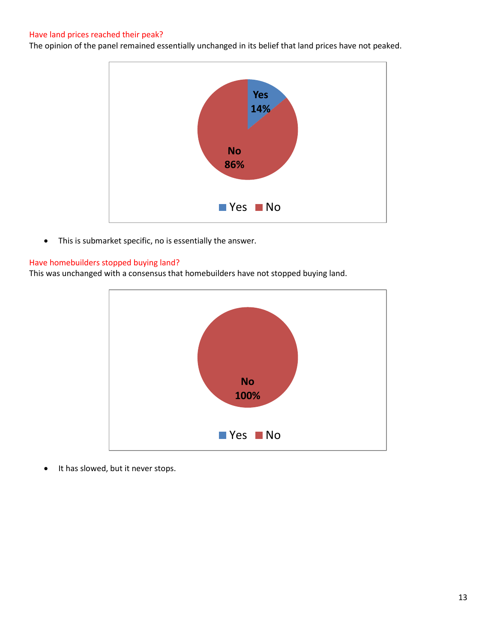## Have land prices reached their peak?

The opinion of the panel remained essentially unchanged in its belief that land prices have not peaked.



• This is submarket specific, no is essentially the answer.

#### Have homebuilders stopped buying land?

This was unchanged with a consensus that homebuilders have not stopped buying land.



• It has slowed, but it never stops.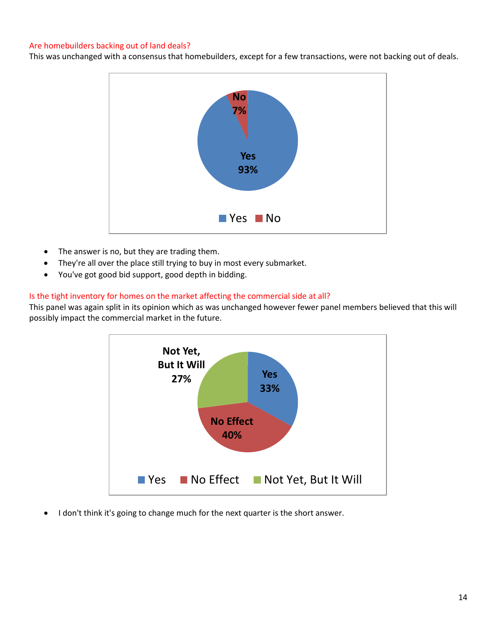## Are homebuilders backing out of land deals?

This was unchanged with a consensus that homebuilders, except for a few transactions, were not backing out of deals.



- The answer is no, but they are trading them.
- They're all over the place still trying to buy in most every submarket.
- You've got good bid support, good depth in bidding.

#### Is the tight inventory for homes on the market affecting the commercial side at all?

This panel was again split in its opinion which as was unchanged however fewer panel members believed that this will possibly impact the commercial market in the future.



I don't think it's going to change much for the next quarter is the short answer.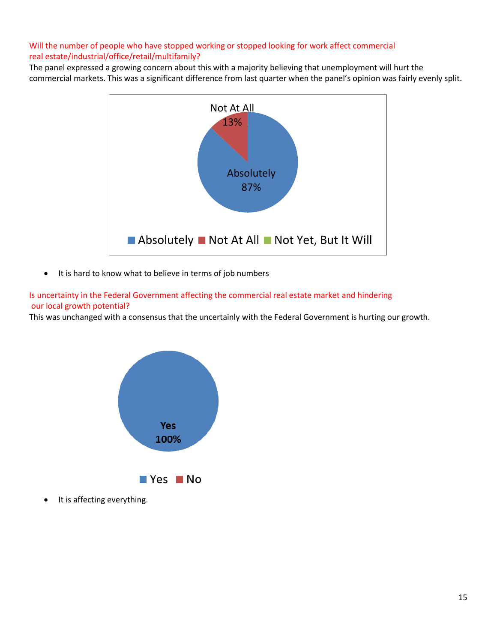# Will the number of people who have stopped working or stopped looking for work affect commercial real estate/industrial/office/retail/multifamily?

The panel expressed a growing concern about this with a majority believing that unemployment will hurt the commercial markets. This was a significant difference from last quarter when the panel's opinion was fairly evenly split.



• It is hard to know what to believe in terms of job numbers

Is uncertainty in the Federal Government affecting the commercial real estate market and hindering our local growth potential?

This was unchanged with a consensus that the uncertainly with the Federal Government is hurting our growth.



It is affecting everything.